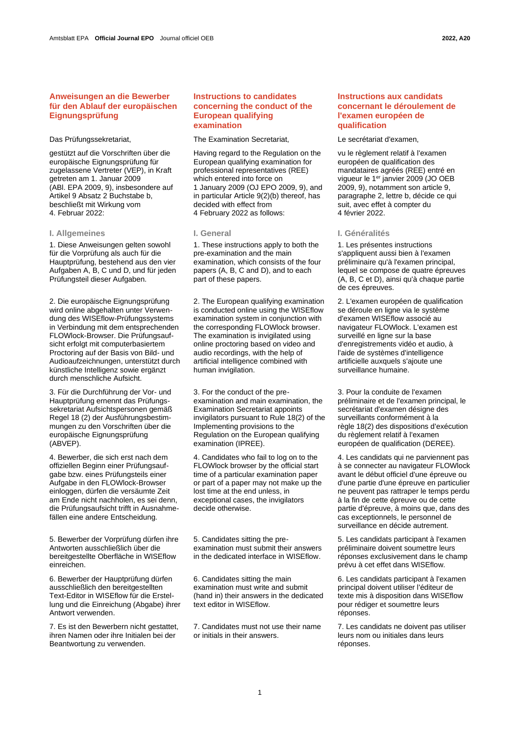# **Anweisungen an die Bewerber für den Ablauf der europäischen Eignungsprüfung**

gestützt auf die Vorschriften über die europäische Eignungsprüfung für zugelassene Vertreter (VEP), in Kraft getreten am 1. Januar 2009 (ABl. EPA 2009, 9), insbesondere auf Artikel 9 Absatz 2 Buchstabe b, beschließt mit Wirkung vom 4. Februar 2022:

# **I. Allgemeines I. General I. Généralités**

1. Diese Anweisungen gelten sowohl für die Vorprüfung als auch für die Hauptprüfung, bestehend aus den vier Aufgaben A, B, C und D, und für jeden Prüfungsteil dieser Aufgaben.

2. Die europäische Eignungsprüfung wird online abgehalten unter Verwendung des WISEflow-Prüfungssystems in Verbindung mit dem entsprechenden FLOWlock-Browser. Die Prüfungsaufsicht erfolgt mit computerbasiertem Proctoring auf der Basis von Bild- und Audioaufzeichnungen, unterstützt durch künstliche Intelligenz sowie ergänzt durch menschliche Aufsicht.

3. Für die Durchführung der Vor- und Hauptprüfung ernennt das Prüfungssekretariat Aufsichtspersonen gemäß Regel 18 (2) der Ausführungsbestimmungen zu den Vorschriften über die europäische Eignungsprüfung (ABVEP).

4. Bewerber, die sich erst nach dem offiziellen Beginn einer Prüfungsaufgabe bzw. eines Prüfungsteils einer Aufgabe in den FLOWlock-Browser einloggen, dürfen die versäumte Zeit am Ende nicht nachholen, es sei denn, die Prüfungsaufsicht trifft in Ausnahmefällen eine andere Entscheidung.

5. Bewerber der Vorprüfung dürfen ihre Antworten ausschließlich über die bereitgestellte Oberfläche in WISEflow einreichen.

6. Bewerber der Hauptprüfung dürfen ausschließlich den bereitgestellten Text-Editor in WISEflow für die Erstellung und die Einreichung (Abgabe) ihrer Antwort verwenden.

7. Es ist den Bewerbern nicht gestattet, ihren Namen oder ihre Initialen bei der Beantwortung zu verwenden.

# **Instructions to candidates concerning the conduct of the European qualifying examination**

Das Prüfungssekretariat, The Examination Secretariat, Le secrétariat d'examen,

Having regard to the Regulation on the European qualifying examination for professional representatives (REE) which entered into force on 1 January 2009 (OJ EPO 2009, 9), and in particular Article 9(2)(b) thereof, has decided with effect from 4 February 2022 as follows:

1. These instructions apply to both the pre-examination and the main examination, which consists of the four papers (A, B, C and D), and to each part of these papers.

2. The European qualifying examination is conducted online using the WISEflow examination system in conjunction with the corresponding FLOWlock browser. The examination is invigilated using online proctoring based on video and audio recordings, with the help of artificial intelligence combined with human invigilation.

3. For the conduct of the preexamination and main examination, the Examination Secretariat appoints invigilators pursuant to Rule 18(2) of the Implementing provisions to the Regulation on the European qualifying examination (IPREE).

4. Candidates who fail to log on to the FLOWlock browser by the official start time of a particular examination paper or part of a paper may not make up the lost time at the end unless, in exceptional cases, the invigilators decide otherwise.

5. Candidates sitting the preexamination must submit their answers in the dedicated interface in WISEflow.

6. Candidates sitting the main examination must write and submit (hand in) their answers in the dedicated text editor in WISEflow.

7. Candidates must not use their name or initials in their answers.

# **Instructions aux candidats concernant le déroulement de l'examen européen de qualification**

vu le règlement relatif à l'examen européen de qualification des mandataires agréés (REE) entré en vigueur le 1<sup>er</sup> janvier 2009 (JO OEB 2009, 9), notamment son article 9, paragraphe 2, lettre b, décide ce qui suit, avec effet à compter du 4 février 2022.

1. Les présentes instructions s'appliquent aussi bien à l'examen préliminaire qu'à l'examen principal, lequel se compose de quatre épreuves (A, B, C et D), ainsi qu'à chaque partie de ces épreuves.

2. L'examen européen de qualification se déroule en ligne via le système d'examen WISEflow associé au navigateur FLOWlock. L'examen est surveillé en ligne sur la base d'enregistrements vidéo et audio, à l'aide de systèmes d'intelligence artificielle auxquels s'ajoute une surveillance humaine.

3. Pour la conduite de l'examen préliminaire et de l'examen principal, le secrétariat d'examen désigne des surveillants conformément à la règle 18(2) des dispositions d'exécution du règlement relatif à l'examen européen de qualification (DEREE).

4. Les candidats qui ne parviennent pas à se connecter au navigateur FLOWlock avant le début officiel d'une épreuve ou d'une partie d'une épreuve en particulier ne peuvent pas rattraper le temps perdu à la fin de cette épreuve ou de cette partie d'épreuve, à moins que, dans des cas exceptionnels, le personnel de surveillance en décide autrement.

5. Les candidats participant à l'examen préliminaire doivent soumettre leurs réponses exclusivement dans le champ prévu à cet effet dans WISEflow.

6. Les candidats participant à l'examen principal doivent utiliser l'éditeur de texte mis à disposition dans WISEflow pour rédiger et soumettre leurs réponses.

7. Les candidats ne doivent pas utiliser leurs nom ou initiales dans leurs réponses.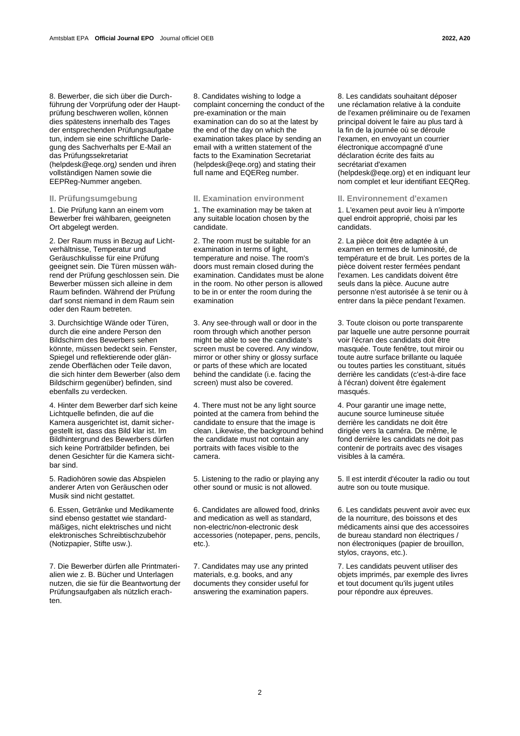8. Bewerber, die sich über die Durchführung der Vorprüfung oder der Hauptprüfung beschweren wollen, können dies spätestens innerhalb des Tages der entsprechenden Prüfungsaufgabe tun, indem sie eine schriftliche Darlegung des Sachverhalts per E-Mail an das Prüfungssekretariat (helpdesk@eqe.org*)* senden und ihren vollständigen Namen sowie die EEPReg-Nummer angeben.

1. Die Prüfung kann an einem vom Bewerber frei wählbaren, geeigneten Ort abgelegt werden.

2. Der Raum muss in Bezug auf Lichtverhältnisse, Temperatur und Geräuschkulisse für eine Prüfung geeignet sein. Die Türen müssen während der Prüfung geschlossen sein. Die Bewerber müssen sich alleine in dem Raum befinden. Während der Prüfung darf sonst niemand in dem Raum sein oder den Raum betreten.

3. Durchsichtige Wände oder Türen, durch die eine andere Person den Bildschirm des Bewerbers sehen könnte, müssen bedeckt sein. Fenster, Spiegel und reflektierende oder glänzende Oberflächen oder Teile davon, die sich hinter dem Bewerber (also dem Bildschirm gegenüber) befinden, sind ebenfalls zu verdecken.

4. Hinter dem Bewerber darf sich keine Lichtquelle befinden, die auf die Kamera ausgerichtet ist, damit sichergestellt ist, dass das Bild klar ist. Im Bildhintergrund des Bewerbers dürfen sich keine Porträtbilder befinden, bei denen Gesichter für die Kamera sichtbar sind.

5. Radiohören sowie das Abspielen anderer Arten von Geräuschen oder Musik sind nicht gestattet.

6. Essen, Getränke und Medikamente sind ebenso gestattet wie standardmäßiges, nicht elektrisches und nicht elektronisches Schreibtischzubehör (Notizpapier, Stifte usw.).

7. Die Bewerber dürfen alle Printmaterialien wie z. B. Bücher und Unterlagen nutzen, die sie für die Beantwortung der Prüfungsaufgaben als nützlich erachten.

8. Candidates wishing to lodge a complaint concerning the conduct of the pre-examination or the main examination can do so at the latest by the end of the day on which the examination takes place by sending an email with a written statement of the facts to the Examination Secretariat (helpdesk@eqe.org) and stating their full name and EQEReg number.

1. The examination may be taken at any suitable location chosen by the candidate.

2. The room must be suitable for an examination in terms of light, temperature and noise. The room's doors must remain closed during the examination. Candidates must be alone in the room. No other person is allowed to be in or enter the room during the examination

3. Any see-through wall or door in the room through which another person might be able to see the candidate's screen must be covered. Any window, mirror or other shiny or glossy surface or parts of these which are located behind the candidate (i.e. facing the screen) must also be covered.

4. There must not be any light source pointed at the camera from behind the candidate to ensure that the image is clean. Likewise, the background behind the candidate must not contain any portraits with faces visible to the camera.

5. Listening to the radio or playing any other sound or music is not allowed.

6. Candidates are allowed food, drinks and medication as well as standard, non-electric/non-electronic desk accessories (notepaper, pens, pencils, etc.).

7. Candidates may use any printed materials, e.g. books, and any documents they consider useful for answering the examination papers.

8. Les candidats souhaitant déposer une réclamation relative à la conduite de l'examen préliminaire ou de l'examen principal doivent le faire au plus tard à la fin de la journée où se déroule l'examen, en envoyant un courrier électronique accompagné d'une déclaration écrite des faits au secrétariat d'examen (helpdesk@eqe.org) et en indiquant leur nom complet et leur identifiant EEQReg.

### **II. Prüfungsumgebung II. Examination environment II. Environnement d'examen**

1. L'examen peut avoir lieu à n'importe quel endroit approprié, choisi par les candidats.

2. La pièce doit être adaptée à un examen en termes de luminosité, de température et de bruit. Les portes de la pièce doivent rester fermées pendant l'examen. Les candidats doivent être seuls dans la pièce. Aucune autre personne n'est autorisée à se tenir ou à entrer dans la pièce pendant l'examen.

3. Toute cloison ou porte transparente par laquelle une autre personne pourrait voir l'écran des candidats doit être masquée. Toute fenêtre, tout miroir ou toute autre surface brillante ou laquée ou toutes parties les constituant, situés derrière les candidats (c'est-à-dire face à l'écran) doivent être également masqués.

4. Pour garantir une image nette, aucune source lumineuse située derrière les candidats ne doit être dirigée vers la caméra. De même, le fond derrière les candidats ne doit pas contenir de portraits avec des visages visibles à la caméra.

5. Il est interdit d'écouter la radio ou tout autre son ou toute musique.

6. Les candidats peuvent avoir avec eux de la nourriture, des boissons et des médicaments ainsi que des accessoires de bureau standard non électriques / non électroniques (papier de brouillon, stylos, crayons, etc.).

7. Les candidats peuvent utiliser des objets imprimés, par exemple des livres et tout document qu'ils jugent utiles pour répondre aux épreuves.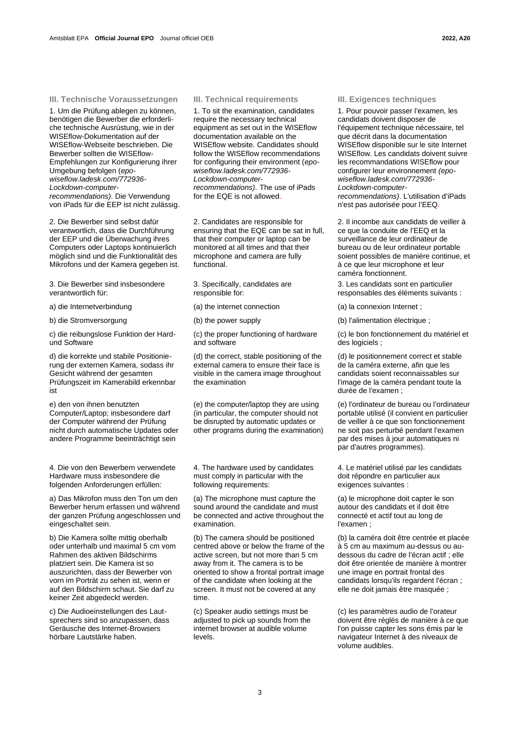### **III. Technische Voraussetzungen III. Technical requirements III. Exigences techniques**

1. Um die Prüfung ablegen zu können, benötigen die Bewerber die erforderliche technische Ausrüstung, wie in der WISEflow-Dokumentation auf der WISEflow-Webseite beschrieben. Die Bewerber sollten die WISEflow-Empfehlungen zur Konfigurierung ihrer Umgebung befolgen (*epowiseflow.ladesk.com/772936- Lockdown-computerrecommendations)*. Die Verwendung von iPads für die EEP ist nicht zulässig.

2. Die Bewerber sind selbst dafür verantwortlich, dass die Durchführung der EEP und die Überwachung ihres Computers oder Laptops kontinuierlich möglich sind und die Funktionalität des Mikrofons und der Kamera gegeben ist.

3. Die Bewerber sind insbesondere verantwortlich für:

a) die Internetverbindung (a) the internet connection (a) la connexion Internet ;

c) die reibungslose Funktion der Hardund Software

d) die korrekte und stabile Positionierung der externen Kamera, sodass ihr Gesicht während der gesamten Prüfungszeit im Kamerabild erkennbar ist

e) den von ihnen benutzten Computer/Laptop; insbesondere darf der Computer während der Prüfung nicht durch automatische Updates oder andere Programme beeinträchtigt sein

4. Die von den Bewerbern verwendete Hardware muss insbesondere die folgenden Anforderungen erfüllen:

a) Das Mikrofon muss den Ton um den Bewerber herum erfassen und während der ganzen Prüfung angeschlossen und eingeschaltet sein.

b) Die Kamera sollte mittig oberhalb oder unterhalb und maximal 5 cm vom Rahmen des aktiven Bildschirms platziert sein. Die Kamera ist so auszurichten, dass der Bewerber von vorn im Porträt zu sehen ist, wenn er auf den Bildschirm schaut. Sie darf zu keiner Zeit abgedeckt werden.

c) Die Audioeinstellungen des Lautsprechers sind so anzupassen, dass Geräusche des Internet-Browsers hörbare Lautstärke haben.

1. To sit the examination, candidates require the necessary technical equipment as set out in the WISEflow documentation available on the WISEflow website. Candidates should follow the WISEflow recommendations for configuring their environment (*epowiseflow.ladesk.com/772936- Lockdown-computerrecommendations)*. The use of iPads for the EQE is not allowed.

2. Candidates are responsible for ensuring that the EQE can be sat in full, that their computer or laptop can be monitored at all times and that their microphone and camera are fully functional.

3. Specifically, candidates are responsible for:

(c) the proper functioning of hardware and software

(d) the correct, stable positioning of the external camera to ensure their face is visible in the camera image throughout the examination

(e) the computer/laptop they are using (in particular, the computer should not be disrupted by automatic updates or other programs during the examination)

4. The hardware used by candidates must comply in particular with the following requirements:

(a) The microphone must capture the sound around the candidate and must be connected and active throughout the examination.

(b) The camera should be positioned centred above or below the frame of the active screen, but not more than 5 cm away from it. The camera is to be oriented to show a frontal portrait image of the candidate when looking at the screen. It must not be covered at any time.

(c) Speaker audio settings must be adjusted to pick up sounds from the internet browser at audible volume levels.

1. Pour pouvoir passer l'examen, les candidats doivent disposer de l'équipement technique nécessaire, tel que décrit dans la documentation WISEflow disponible sur le site Internet WISEflow. Les candidats doivent suivre les recommandations WISEflow pour configurer leur environnement *(epowiseflow.ladesk.com/772936- Lockdown-computerrecommendations)*. L'utilisation d'iPads n'est pas autorisée pour l'EEQ.

2. Il incombe aux candidats de veiller à ce que la conduite de l'EEQ et la surveillance de leur ordinateur de bureau ou de leur ordinateur portable soient possibles de manière continue, et à ce que leur microphone et leur caméra fonctionnent.

3. Les candidats sont en particulier responsables des éléments suivants :

b) die Stromversorgung (b) the power supply (b) l'alimentation électrique ;

(c) le bon fonctionnement du matériel et des logiciels ;

(d) le positionnement correct et stable de la caméra externe, afin que les candidats soient reconnaissables sur l'image de la caméra pendant toute la durée de l'examen ;

(e) l'ordinateur de bureau ou l'ordinateur portable utilisé (il convient en particulier de veiller à ce que son fonctionnement ne soit pas perturbé pendant l'examen par des mises à jour automatiques ni par d'autres programmes).

4. Le matériel utilisé par les candidats doit répondre en particulier aux exigences suivantes :

(a) le microphone doit capter le son autour des candidats et il doit être connecté et actif tout au long de l'examen ;

(b) la caméra doit être centrée et placée à 5 cm au maximum au-dessus ou audessous du cadre de l'écran actif ; elle doit être orientée de manière à montrer une image en portrait frontal des candidats lorsqu'ils regardent l'écran ; elle ne doit jamais être masquée ;

(c) les paramètres audio de l'orateur doivent être réglés de manière à ce que l'on puisse capter les sons émis par le navigateur Internet à des niveaux de volume audibles.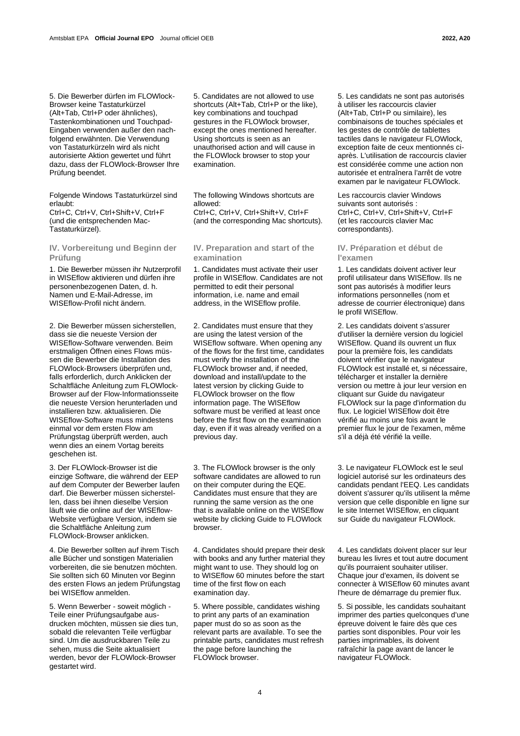5. Die Bewerber dürfen im FLOWlock-Browser keine Tastaturkürzel (Alt+Tab, Ctrl+P oder ähnliches), Tastenkombinationen und Touchpad-Eingaben verwenden außer den nachfolgend erwähnten. Die Verwendung von Tastaturkürzeln wird als nicht autorisierte Aktion gewertet und führt dazu, dass der FLOWlock-Browser Ihre Prüfung beendet.

Folgende Windows Tastaturkürzel sind erlaubt:

Ctrl+C, Ctrl+V, Ctrl+Shift+V, Ctrl+F (und die entsprechenden Mac-Tastaturkürzel).

**IV. Vorbereitung und Beginn der Prüfung**

1. Die Bewerber müssen ihr Nutzerprofil in WISEflow aktivieren und dürfen ihre personenbezogenen Daten, d. h. Namen und E-Mail-Adresse, im WISEflow-Profil nicht ändern.

2. Die Bewerber müssen sicherstellen, dass sie die neueste Version der WISEflow-Software verwenden. Beim erstmaligen Öffnen eines Flows müssen die Bewerber die Installation des FLOWlock-Browsers überprüfen und, falls erforderlich, durch Anklicken der Schaltfläche Anleitung zum FLOWlock-Browser auf der Flow-Informationsseite die neueste Version herunterladen und installieren bzw. aktualisieren. Die WISEflow-Software muss mindestens einmal vor dem ersten Flow am Prüfungstag überprüft werden, auch wenn dies an einem Vortag bereits geschehen ist.

3. Der FLOWlock-Browser ist die einzige Software, die während der EEP auf dem Computer der Bewerber laufen darf. Die Bewerber müssen sicherstellen, dass bei ihnen dieselbe Version läuft wie die online auf der WISEflow-Website verfügbare Version, indem sie die Schaltfläche Anleitung zum FLOWlock-Browser anklicken.

4. Die Bewerber sollten auf ihrem Tisch alle Bücher und sonstigen Materialien vorbereiten, die sie benutzen möchten. Sie sollten sich 60 Minuten vor Beginn des ersten Flows an jedem Prüfungstag bei WISEflow anmelden.

5. Wenn Bewerber - soweit möglich - Teile einer Prüfungsaufgabe ausdrucken möchten, müssen sie dies tun, sobald die relevanten Teile verfügbar sind. Um die ausdruckbaren Teile zu sehen, muss die Seite aktualisiert werden, bevor der FLOWlock-Browser gestartet wird.

5. Candidates are not allowed to use shortcuts (Alt+Tab, Ctrl+P or the like), key combinations and touchpad gestures in the FLOWlock browser, except the ones mentioned hereafter. Using shortcuts is seen as an unauthorised action and will cause in the FLOWlock browser to stop your examination.

The following Windows shortcuts are allowed:

Ctrl+C, Ctrl+V, Ctrl+Shift+V, Ctrl+F (and the corresponding Mac shortcuts).

# **IV. Preparation and start of the examination**

1. Candidates must activate their user profile in WISEflow. Candidates are not permitted to edit their personal information, i.e. name and email address, in the WISEflow profile.

2. Candidates must ensure that they are using the latest version of the WISEflow software. When opening any of the flows for the first time, candidates must verify the installation of the FLOWlock browser and, if needed, download and install/update to the latest version by clicking Guide to FLOWlock browser on the flow information page. The WISEflow software must be verified at least once before the first flow on the examination day, even if it was already verified on a previous day.

3. The FLOWlock browser is the only software candidates are allowed to run on their computer during the EQE. Candidates must ensure that they are running the same version as the one that is available online on the WISEflow website by clicking Guide to FLOWlock browser.

4. Candidates should prepare their desk with books and any further material they might want to use. They should log on to WISEflow 60 minutes before the start time of the first flow on each examination day.

5. Where possible, candidates wishing to print any parts of an examination paper must do so as soon as the relevant parts are available. To see the printable parts, candidates must refresh the page before launching the FLOWlock browser.

5. Les candidats ne sont pas autorisés à utiliser les raccourcis clavier (Alt+Tab, Ctrl+P ou similaire), les combinaisons de touches spéciales et les gestes de contrôle de tablettes tactiles dans le navigateur FLOWlock, exception faite de ceux mentionnés ciaprès. L'utilisation de raccourcis clavier est considérée comme une action non autorisée et entraînera l'arrêt de votre examen par le navigateur FLOWlock.

Les raccourcis clavier Windows suivants sont autorisés : Ctrl+C, Ctrl+V, Ctrl+Shift+V, Ctrl+F (et les raccourcis clavier Mac correspondants).

# **IV. Préparation et début de l'examen**

1. Les candidats doivent activer leur profil utilisateur dans WISEflow. Ils ne sont pas autorisés à modifier leurs informations personnelles (nom et adresse de courrier électronique) dans le profil WISEflow.

2. Les candidats doivent s'assurer d'utiliser la dernière version du logiciel WISEflow. Quand ils ouvrent un flux pour la première fois, les candidats doivent vérifier que le navigateur FLOWlock est installé et, si nécessaire, télécharger et installer la dernière version ou mettre à jour leur version en cliquant sur Guide du navigateur FLOWlock sur la page d'information du flux. Le logiciel WISEflow doit être vérifié au moins une fois avant le premier flux le jour de l'examen, même s'il a déjà été vérifié la veille.

3. Le navigateur FLOWlock est le seul logiciel autorisé sur les ordinateurs des candidats pendant l'EEQ. Les candidats doivent s'assurer qu'ils utilisent la même version que celle disponible en ligne sur le site Internet WISEflow, en cliquant sur Guide du navigateur FLOWlock.

4. Les candidats doivent placer sur leur bureau les livres et tout autre document qu'ils pourraient souhaiter utiliser. Chaque jour d'examen, ils doivent se connecter à WISEflow 60 minutes avant l'heure de démarrage du premier flux.

5. Si possible, les candidats souhaitant imprimer des parties quelconques d'une épreuve doivent le faire dès que ces parties sont disponibles. Pour voir les parties imprimables, ils doivent rafraîchir la page avant de lancer le navigateur FLOWlock.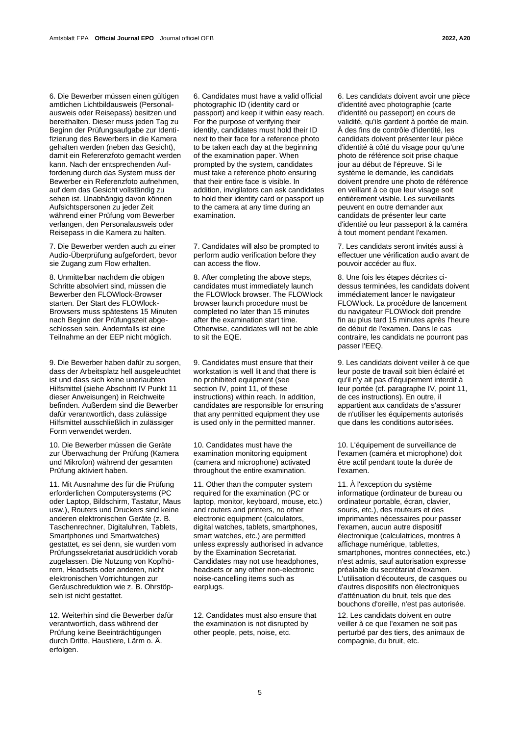6. Die Bewerber müssen einen gültigen amtlichen Lichtbildausweis (Personalausweis oder Reisepass) besitzen und bereithalten. Dieser muss jeden Tag zu Beginn der Prüfungsaufgabe zur Identifizierung des Bewerbers in die Kamera gehalten werden (neben das Gesicht), damit ein Referenzfoto gemacht werden kann. Nach der entsprechenden Aufforderung durch das System muss der Bewerber ein Referenzfoto aufnehmen, auf dem das Gesicht vollständig zu sehen ist. Unabhängig davon können Aufsichtspersonen zu jeder Zeit während einer Prüfung vom Bewerber verlangen, den Personalausweis oder Reisepass in die Kamera zu halten.

7. Die Bewerber werden auch zu einer Audio-Überprüfung aufgefordert, bevor sie Zugang zum Flow erhalten.

8. Unmittelbar nachdem die obigen Schritte absolviert sind, müssen die Bewerber den FLOWlock-Browser starten. Der Start des FLOWlock-Browsers muss spätestens 15 Minuten nach Beginn der Prüfungszeit abgeschlossen sein. Andernfalls ist eine Teilnahme an der EEP nicht möglich.

9. Die Bewerber haben dafür zu sorgen, dass der Arbeitsplatz hell ausgeleuchtet ist und dass sich keine unerlaubten Hilfsmittel (siehe Abschnitt IV Punkt 11 dieser Anweisungen) in Reichweite befinden. Außerdem sind die Bewerber dafür verantwortlich, dass zulässige Hilfsmittel ausschließlich in zulässiger Form verwendet werden.

10. Die Bewerber müssen die Geräte zur Überwachung der Prüfung (Kamera und Mikrofon) während der gesamten Prüfung aktiviert haben.

11. Mit Ausnahme des für die Prüfung erforderlichen Computersystems (PC oder Laptop, Bildschirm, Tastatur, Maus usw.), Routers und Druckers sind keine anderen elektronischen Geräte (z. B. Taschenrechner, Digitaluhren, Tablets, Smartphones und Smartwatches) gestattet, es sei denn, sie wurden vom Prüfungssekretariat ausdrücklich vorab zugelassen. Die Nutzung von Kopfhörern, Headsets oder anderen, nicht elektronischen Vorrichtungen zur Geräuschreduktion wie z. B. Ohrstöpseln ist nicht gestattet.

12. Weiterhin sind die Bewerber dafür verantwortlich, dass während der Prüfung keine Beeinträchtigungen durch Dritte, Haustiere, Lärm o. Ä. erfolgen.

6. Candidates must have a valid official photographic ID (identity card or passport) and keep it within easy reach. For the purpose of verifying their identity, candidates must hold their ID next to their face for a reference photo to be taken each day at the beginning of the examination paper. When prompted by the system, candidates must take a reference photo ensuring that their entire face is visible. In addition, invigilators can ask candidates to hold their identity card or passport up to the camera at any time during an examination.

7. Candidates will also be prompted to perform audio verification before they can access the flow.

8. After completing the above steps, candidates must immediately launch the FLOWlock browser. The FLOWlock browser launch procedure must be completed no later than 15 minutes after the examination start time. Otherwise, candidates will not be able to sit the EQE.

9. Candidates must ensure that their workstation is well lit and that there is no prohibited equipment (see section IV, point 11, of these instructions) within reach. In addition, candidates are responsible for ensuring that any permitted equipment they use is used only in the permitted manner.

10. Candidates must have the examination monitoring equipment (camera and microphone) activated throughout the entire examination.

11. Other than the computer system required for the examination (PC or laptop, monitor, keyboard, mouse, etc.) and routers and printers, no other electronic equipment (calculators, digital watches, tablets, smartphones, smart watches, etc.) are permitted unless expressly authorised in advance by the Examination Secretariat. Candidates may not use headphones, headsets or any other non-electronic noise-cancelling items such as earplugs.

12. Candidates must also ensure that the examination is not disrupted by other people, pets, noise, etc.

6. Les candidats doivent avoir une pièce d'identité avec photographie (carte d'identité ou passeport) en cours de validité, qu'ils gardent à portée de main. À des fins de contrôle d'identité, les candidats doivent présenter leur pièce d'identité à côté du visage pour qu'une photo de référence soit prise chaque jour au début de l'épreuve. Si le système le demande, les candidats doivent prendre une photo de référence en veillant à ce que leur visage soit entièrement visible. Les surveillants peuvent en outre demander aux candidats de présenter leur carte d'identité ou leur passeport à la caméra à tout moment pendant l'examen.

7. Les candidats seront invités aussi à effectuer une vérification audio avant de pouvoir accéder au flux.

8. Une fois les étapes décrites cidessus terminées, les candidats doivent immédiatement lancer le navigateur FLOWlock. La procédure de lancement du navigateur FLOWlock doit prendre fin au plus tard 15 minutes après l'heure de début de l'examen. Dans le cas contraire, les candidats ne pourront pas passer l'EEQ.

9. Les candidats doivent veiller à ce que leur poste de travail soit bien éclairé et qu'il n'y ait pas d'équipement interdit à leur portée (cf. paragraphe IV, point 11, de ces instructions). En outre, il appartient aux candidats de s'assurer de n'utiliser les équipements autorisés que dans les conditions autorisées.

10. L'équipement de surveillance de l'examen (caméra et microphone) doit être actif pendant toute la durée de l'examen.

11. À l'exception du système informatique (ordinateur de bureau ou ordinateur portable, écran, clavier, souris, etc.), des routeurs et des imprimantes nécessaires pour passer l'examen, aucun autre dispositif électronique (calculatrices, montres à affichage numérique, tablettes, smartphones, montres connectées, etc.) n'est admis, sauf autorisation expresse préalable du secrétariat d'examen. L'utilisation d'écouteurs, de casques ou d'autres dispositifs non électroniques d'atténuation du bruit, tels que des bouchons d'oreille, n'est pas autorisée.

12. Les candidats doivent en outre veiller à ce que l'examen ne soit pas perturbé par des tiers, des animaux de compagnie, du bruit, etc.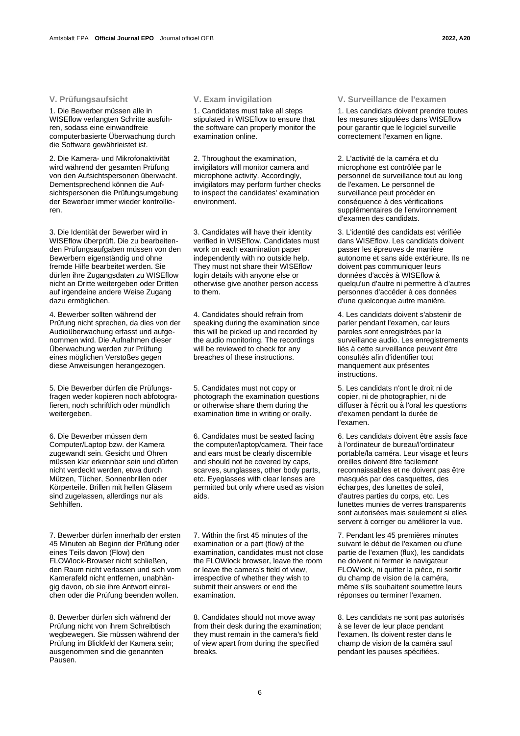1. Die Bewerber müssen alle in WISEflow verlangten Schritte ausführen, sodass eine einwandfreie computerbasierte Überwachung durch die Software gewährleistet ist.

2. Die Kamera- und Mikrofonaktivität wird während der gesamten Prüfung von den Aufsichtspersonen überwacht. Dementsprechend können die Aufsichtspersonen die Prüfungsumgebung der Bewerber immer wieder kontrollieren.

3. Die Identität der Bewerber wird in WISEflow überprüft. Die zu bearbeitenden Prüfungsaufgaben müssen von den Bewerbern eigenständig und ohne fremde Hilfe bearbeitet werden. Sie dürfen ihre Zugangsdaten zu WISEflow nicht an Dritte weitergeben oder Dritten auf irgendeine andere Weise Zugang dazu ermöglichen.

4. Bewerber sollten während der Prüfung nicht sprechen, da dies von der Audioüberwachung erfasst und aufgenommen wird. Die Aufnahmen dieser Überwachung werden zur Prüfung eines möglichen Verstoßes gegen diese Anweisungen herangezogen.

5. Die Bewerber dürfen die Prüfungsfragen weder kopieren noch abfotografieren, noch schriftlich oder mündlich weitergeben.

6. Die Bewerber müssen dem Computer/Laptop bzw. der Kamera zugewandt sein. Gesicht und Ohren müssen klar erkennbar sein und dürfen nicht verdeckt werden, etwa durch Mützen, Tücher, Sonnenbrillen oder Körperteile. Brillen mit hellen Gläsern sind zugelassen, allerdings nur als Sehhilfen.

7. Bewerber dürfen innerhalb der ersten 45 Minuten ab Beginn der Prüfung oder eines Teils davon (Flow) den FLOWlock-Browser nicht schließen, den Raum nicht verlassen und sich vom Kamerafeld nicht entfernen, unabhängig davon, ob sie ihre Antwort einreichen oder die Prüfung beenden wollen.

8. Bewerber dürfen sich während der Prüfung nicht von ihrem Schreibtisch wegbewegen. Sie müssen während der Prüfung im Blickfeld der Kamera sein; ausgenommen sind die genannten Pausen.

1. Candidates must take all steps stipulated in WISEflow to ensure that the software can properly monitor the examination online.

2. Throughout the examination, invigilators will monitor camera and microphone activity. Accordingly, invigilators may perform further checks to inspect the candidates' examination environment.

3. Candidates will have their identity verified in WISEflow. Candidates must work on each examination paper independently with no outside help. They must not share their WISEflow login details with anyone else or otherwise give another person access to them.

4. Candidates should refrain from speaking during the examination since this will be picked up and recorded by the audio monitoring. The recordings will be reviewed to check for any breaches of these instructions.

5. Candidates must not copy or photograph the examination questions or otherwise share them during the examination time in writing or orally.

6. Candidates must be seated facing the computer/laptop/camera. Their face and ears must be clearly discernible and should not be covered by caps, scarves, sunglasses, other body parts, etc. Eyeglasses with clear lenses are permitted but only where used as vision aids.

7. Within the first 45 minutes of the examination or a part (flow) of the examination, candidates must not close the FLOWlock browser, leave the room or leave the camera's field of view, irrespective of whether they wish to submit their answers or end the examination.

8. Candidates should not move away from their desk during the examination; they must remain in the camera's field of view apart from during the specified breaks.

# **V. Prüfungsaufsicht V. Exam invigilation V. Surveillance de l'examen**

1. Les candidats doivent prendre toutes les mesures stipulées dans WISEflow pour garantir que le logiciel surveille correctement l'examen en ligne.

2. L'activité de la caméra et du microphone est contrôlée par le personnel de surveillance tout au long de l'examen. Le personnel de surveillance peut procéder en conséquence à des vérifications supplémentaires de l'environnement d'examen des candidats.

3. L'identité des candidats est vérifiée dans WISEflow. Les candidats doivent passer les épreuves de manière autonome et sans aide extérieure. Ils ne doivent pas communiquer leurs données d'accès à WISEflow à quelqu'un d'autre ni permettre à d'autres personnes d'accéder à ces données d'une quelconque autre manière.

4. Les candidats doivent s'abstenir de parler pendant l'examen, car leurs paroles sont enregistrées par la surveillance audio. Les enregistrements liés à cette surveillance peuvent être consultés afin d'identifier tout manquement aux présentes instructions.

5. Les candidats n'ont le droit ni de copier, ni de photographier, ni de diffuser à l'écrit ou à l'oral les questions d'examen pendant la durée de l'examen.

6. Les candidats doivent être assis face à l'ordinateur de bureau/l'ordinateur portable/la caméra. Leur visage et leurs oreilles doivent être facilement reconnaissables et ne doivent pas être masqués par des casquettes, des écharpes, des lunettes de soleil, d'autres parties du corps, etc. Les lunettes munies de verres transparents sont autorisées mais seulement si elles servent à corriger ou améliorer la vue.

7. Pendant les 45 premières minutes suivant le début de l'examen ou d'une partie de l'examen (flux), les candidats ne doivent ni fermer le navigateur FLOWlock, ni quitter la pièce, ni sortir du champ de vision de la caméra, même s'ils souhaitent soumettre leurs réponses ou terminer l'examen.

8. Les candidats ne sont pas autorisés à se lever de leur place pendant l'examen. Ils doivent rester dans le champ de vision de la caméra sauf pendant les pauses spécifiées.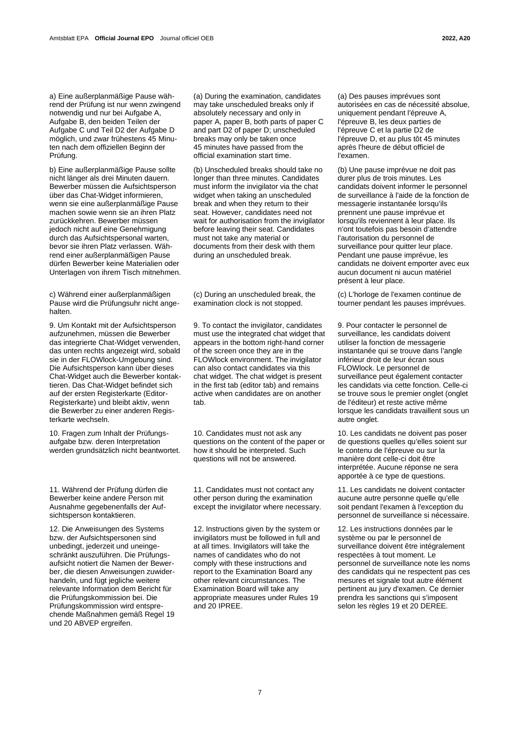a) Eine außerplanmäßige Pause während der Prüfung ist nur wenn zwingend notwendig und nur bei Aufgabe A, Aufgabe B, den beiden Teilen der Aufgabe C und Teil D2 der Aufgabe D möglich, und zwar frühestens 45 Minuten nach dem offiziellen Beginn der Prüfung.

b) Eine außerplanmäßige Pause sollte nicht länger als drei Minuten dauern. Bewerber müssen die Aufsichtsperson über das Chat-Widget informieren, wenn sie eine außerplanmäßige Pause machen sowie wenn sie an ihren Platz zurückkehren. Bewerber müssen jedoch nicht auf eine Genehmigung durch das Aufsichtspersonal warten, bevor sie ihren Platz verlassen. Während einer außerplanmäßigen Pause dürfen Bewerber keine Materialien oder Unterlagen von ihrem Tisch mitnehmen.

c) Während einer außerplanmäßigen Pause wird die Prüfungsuhr nicht angehalten.

9. Um Kontakt mit der Aufsichtsperson aufzunehmen, müssen die Bewerber das integrierte Chat-Widget verwenden, das unten rechts angezeigt wird, sobald sie in der FLOWlock-Umgebung sind. Die Aufsichtsperson kann über dieses Chat-Widget auch die Bewerber kontaktieren. Das Chat-Widget befindet sich auf der ersten Registerkarte (Editor-Registerkarte) und bleibt aktiv, wenn die Bewerber zu einer anderen Registerkarte wechseln.

10. Fragen zum Inhalt der Prüfungsaufgabe bzw. deren Interpretation werden grundsätzlich nicht beantwortet.

11. Während der Prüfung dürfen die Bewerber keine andere Person mit Ausnahme gegebenenfalls der Aufsichtsperson kontaktieren.

12. Die Anweisungen des Systems bzw. der Aufsichtspersonen sind unbedingt, jederzeit und uneingeschränkt auszuführen. Die Prüfungsaufsicht notiert die Namen der Bewerber, die diesen Anweisungen zuwiderhandeln, und fügt jegliche weitere relevante Information dem Bericht für die Prüfungskommission bei. Die Prüfungskommission wird entsprechende Maßnahmen gemäß Regel 19 und 20 ABVEP ergreifen.

(a) During the examination, candidates may take unscheduled breaks only if absolutely necessary and only in paper A, paper B, both parts of paper C and part D2 of paper D; unscheduled breaks may only be taken once 45 minutes have passed from the official examination start time.

(b) Unscheduled breaks should take no longer than three minutes. Candidates must inform the invigilator via the chat widget when taking an unscheduled break and when they return to their seat. However, candidates need not wait for authorisation from the invigilator before leaving their seat. Candidates must not take any material or documents from their desk with them during an unscheduled break.

(c) During an unscheduled break, the examination clock is not stopped.

9. To contact the invigilator, candidates must use the integrated chat widget that appears in the bottom right-hand corner of the screen once they are in the FLOWlock environment. The invigilator can also contact candidates via this chat widget. The chat widget is present in the first tab (editor tab) and remains active when candidates are on another tab.

10. Candidates must not ask any questions on the content of the paper or how it should be interpreted. Such questions will not be answered.

11. Candidates must not contact any other person during the examination except the invigilator where necessary.

12. Instructions given by the system or invigilators must be followed in full and at all times. Invigilators will take the names of candidates who do not comply with these instructions and report to the Examination Board any other relevant circumstances. The Examination Board will take any appropriate measures under Rules 19 and 20 IPREE.

(a) Des pauses imprévues sont autorisées en cas de nécessité absolue, uniquement pendant l'épreuve A, l'épreuve B, les deux parties de l'épreuve C et la partie D2 de l'épreuve D, et au plus tôt 45 minutes après l'heure de début officiel de l'examen.

(b) Une pause imprévue ne doit pas durer plus de trois minutes. Les candidats doivent informer le personnel de surveillance à l'aide de la fonction de messagerie instantanée lorsqu'ils prennent une pause imprévue et lorsqu'ils reviennent à leur place. Ils n'ont toutefois pas besoin d'attendre l'autorisation du personnel de surveillance pour quitter leur place. Pendant une pause imprévue, les candidats ne doivent emporter avec eux aucun document ni aucun matériel présent à leur place.

(c) L'horloge de l'examen continue de tourner pendant les pauses imprévues.

9. Pour contacter le personnel de surveillance, les candidats doivent utiliser la fonction de messagerie instantanée qui se trouve dans l'angle inférieur droit de leur écran sous FLOWlock. Le personnel de surveillance peut également contacter les candidats via cette fonction. Celle-ci se trouve sous le premier onglet (onglet de l'éditeur) et reste active même lorsque les candidats travaillent sous un autre onglet.

10. Les candidats ne doivent pas poser de questions quelles qu'elles soient sur le contenu de l'épreuve ou sur la manière dont celle-ci doit être interprétée. Aucune réponse ne sera apportée à ce type de questions.

11. Les candidats ne doivent contacter aucune autre personne quelle qu'elle soit pendant l'examen à l'exception du personnel de surveillance si nécessaire.

12. Les instructions données par le système ou par le personnel de surveillance doivent être intégralement respectées à tout moment. Le personnel de surveillance note les noms des candidats qui ne respectent pas ces mesures et signale tout autre élément pertinent au jury d'examen. Ce dernier prendra les sanctions qui s'imposent selon les règles 19 et 20 DEREE.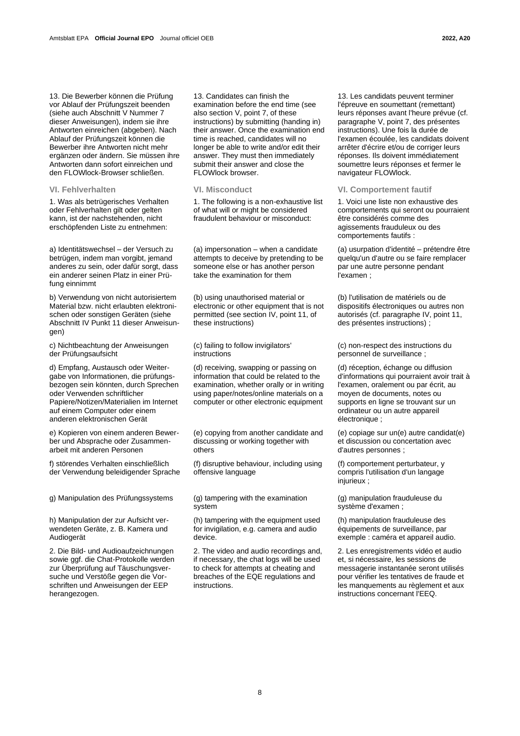13. Die Bewerber können die Prüfung vor Ablauf der Prüfungszeit beenden (siehe auch Abschnitt V Nummer 7 dieser Anweisungen), indem sie ihre Antworten einreichen (abgeben). Nach Ablauf der Prüfungszeit können die Bewerber ihre Antworten nicht mehr ergänzen oder ändern. Sie müssen ihre Antworten dann sofort einreichen und den FLOWlock-Browser schließen.

1. Was als betrügerisches Verhalten oder Fehlverhalten gilt oder gelten kann, ist der nachstehenden, nicht erschöpfenden Liste zu entnehmen:

a) Identitätswechsel – der Versuch zu betrügen, indem man vorgibt, jemand anderes zu sein, oder dafür sorgt, dass ein anderer seinen Platz in einer Prüfung einnimmt

b) Verwendung von nicht autorisiertem Material bzw. nicht erlaubten elektronischen oder sonstigen Geräten (siehe Abschnitt IV Punkt 11 dieser Anweisungen)

c) Nichtbeachtung der Anweisungen der Prüfungsaufsicht

d) Empfang, Austausch oder Weitergabe von Informationen, die prüfungsbezogen sein könnten, durch Sprechen oder Verwenden schriftlicher Papiere/Notizen/Materialien im Internet auf einem Computer oder einem anderen elektronischen Gerät

e) Kopieren von einem anderen Bewerber und Absprache oder Zusammenarbeit mit anderen Personen

f) störendes Verhalten einschließlich der Verwendung beleidigender Sprache

g) Manipulation des Prüfungssystems (g) tampering with the examination

h) Manipulation der zur Aufsicht verwendeten Geräte, z. B. Kamera und Audiogerät

2. Die Bild- und Audioaufzeichnungen sowie ggf. die Chat-Protokolle werden zur Überprüfung auf Täuschungsversuche und Verstöße gegen die Vorschriften und Anweisungen der EEP herangezogen.

13. Candidates can finish the examination before the end time (see also section V, point 7, of these instructions) by submitting (handing in) their answer. Once the examination end time is reached, candidates will no longer be able to write and/or edit their answer. They must then immediately submit their answer and close the FLOWlock browser.

1. The following is a non-exhaustive list of what will or might be considered fraudulent behaviour or misconduct:

(a) impersonation – when a candidate attempts to deceive by pretending to be someone else or has another person take the examination for them

(b) using unauthorised material or electronic or other equipment that is not permitted (see section IV, point 11, of these instructions)

(c) failing to follow invigilators' instructions

(d) receiving, swapping or passing on information that could be related to the examination, whether orally or in writing using paper/notes/online materials on a computer or other electronic equipment

(e) copying from another candidate and discussing or working together with others

(f) disruptive behaviour, including using offensive language

system

(h) tampering with the equipment used for invigilation, e.g. camera and audio device.

2. The video and audio recordings and, if necessary, the chat logs will be used to check for attempts at cheating and breaches of the EQE regulations and instructions.

13. Les candidats peuvent terminer l'épreuve en soumettant (remettant) leurs réponses avant l'heure prévue (cf. paragraphe V, point 7, des présentes instructions). Une fois la durée de l'examen écoulée, les candidats doivent arrêter d'écrire et/ou de corriger leurs réponses. Ils doivent immédiatement soumettre leurs réponses et fermer le navigateur FLOWlock.

**VI. Fehlverhalten VI. Misconduct VI. Comportement fautif**

1. Voici une liste non exhaustive des comportements qui seront ou pourraient être considérés comme des agissements frauduleux ou des comportements fautifs :

(a) usurpation d'identité – prétendre être quelqu'un d'autre ou se faire remplacer par une autre personne pendant l'examen ;

(b) l'utilisation de matériels ou de dispositifs électroniques ou autres non autorisés (cf. paragraphe IV, point 11, des présentes instructions) ;

(c) non-respect des instructions du personnel de surveillance ;

(d) réception, échange ou diffusion d'informations qui pourraient avoir trait à l'examen, oralement ou par écrit, au moyen de documents, notes ou supports en ligne se trouvant sur un ordinateur ou un autre appareil électronique :

(e) copiage sur un(e) autre candidat(e) et discussion ou concertation avec d'autres personnes ;

(f) comportement perturbateur, y compris l'utilisation d'un langage injurieux ;

(g) manipulation frauduleuse du système d'examen ;

(h) manipulation frauduleuse des équipements de surveillance, par exemple : caméra et appareil audio.

2. Les enregistrements vidéo et audio et, si nécessaire, les sessions de messagerie instantanée seront utilisés pour vérifier les tentatives de fraude et les manquements au règlement et aux instructions concernant l'EEQ.